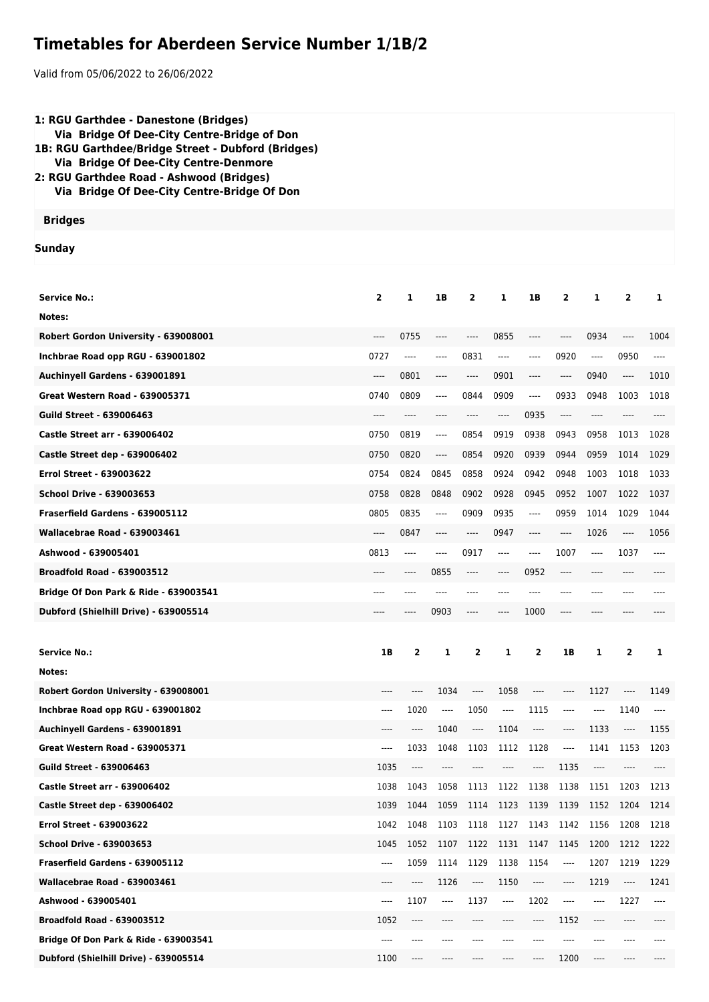## **Timetables for Aberdeen Service Number 1/1B/2**

Valid from 05/06/2022 to 26/06/2022

| 1: RGU Garthdee - Danestone (Bridges)<br>Via Bridge Of Dee-City Centre-Bridge of Don<br>1B: RGU Garthdee/Bridge Street - Dubford (Bridges)<br>Via Bridge Of Dee-City Centre-Denmore<br>2: RGU Garthdee Road - Ashwood (Bridges)<br>Via Bridge Of Dee-City Centre-Bridge Of Don |                |              |                               |                                                                           |                          |          |                                                      |       |                        |      |
|--------------------------------------------------------------------------------------------------------------------------------------------------------------------------------------------------------------------------------------------------------------------------------|----------------|--------------|-------------------------------|---------------------------------------------------------------------------|--------------------------|----------|------------------------------------------------------|-------|------------------------|------|
| <b>Bridges</b>                                                                                                                                                                                                                                                                 |                |              |                               |                                                                           |                          |          |                                                      |       |                        |      |
| Sunday                                                                                                                                                                                                                                                                         |                |              |                               |                                                                           |                          |          |                                                      |       |                        |      |
|                                                                                                                                                                                                                                                                                |                |              |                               |                                                                           |                          |          |                                                      |       |                        |      |
| <b>Service No.:</b>                                                                                                                                                                                                                                                            | $\overline{2}$ | 1            | 1B                            | $\overline{2}$                                                            | 1                        | 1B       | $\overline{2}$                                       | 1     | $\overline{2}$         | 1    |
| Notes:                                                                                                                                                                                                                                                                         |                |              |                               |                                                                           |                          |          |                                                      |       |                        |      |
| Robert Gordon University - 639008001                                                                                                                                                                                                                                           | ----           | 0755         | ----                          | ----                                                                      | 0855                     | ----     | $---$                                                | 0934  | ----                   | 1004 |
| Inchbrae Road opp RGU - 639001802                                                                                                                                                                                                                                              | 0727           | $\cdots$     | ----                          | 0831                                                                      | $---$                    | ----     | 0920                                                 | ----  | 0950                   | ---- |
| Auchinyell Gardens - 639001891                                                                                                                                                                                                                                                 | ----           | 0801         | ----                          | ----                                                                      | 0901                     | ----     | $\hspace{0.05cm}\rule{0.7pt}{0.1ex}\hspace{0.025cm}$ | 0940  | $\cdots$               | 1010 |
| <b>Great Western Road - 639005371</b>                                                                                                                                                                                                                                          | 0740           | 0809         | ----                          | 0844                                                                      | 0909                     | ----     | 0933                                                 | 0948  | 1003                   | 1018 |
| <b>Guild Street - 639006463</b>                                                                                                                                                                                                                                                | ----           | ----         |                               |                                                                           | $\cdots$                 | 0935     | $-----$                                              | ----  |                        |      |
| <b>Castle Street arr - 639006402</b>                                                                                                                                                                                                                                           | 0750           | 0819         | $\hspace{1.5cm} \textbf{---}$ | 0854                                                                      | 0919                     | 0938     | 0943                                                 | 0958  | 1013                   | 1028 |
| Castle Street dep - 639006402                                                                                                                                                                                                                                                  | 0750           | 0820         | $\cdots$                      | 0854                                                                      | 0920                     | 0939     | 0944                                                 | 0959  | 1014                   | 1029 |
| <b>Errol Street - 639003622</b>                                                                                                                                                                                                                                                | 0754           | 0824         | 0845                          | 0858                                                                      | 0924                     | 0942     | 0948                                                 | 1003  | 1018                   | 1033 |
| <b>School Drive - 639003653</b>                                                                                                                                                                                                                                                | 0758           | 0828         | 0848                          | 0902                                                                      | 0928                     | 0945     | 0952                                                 | 1007  | 1022                   | 1037 |
| Fraserfield Gardens - 639005112                                                                                                                                                                                                                                                | 0805           | 0835         | ----                          | 0909                                                                      | 0935                     | ----     | 0959                                                 | 1014  | 1029                   | 1044 |
| Wallacebrae Road - 639003461                                                                                                                                                                                                                                                   | ----           | 0847         | ----                          | ----                                                                      | 0947                     | ----     | $\hspace{0.05cm}\rule{0.7pt}{0.1ex}\hspace{0.025cm}$ | 1026  | ----                   | 1056 |
| Ashwood - 639005401                                                                                                                                                                                                                                                            | 0813           | ----         | ----                          | 0917                                                                      | $---$                    | $---$    | 1007                                                 | ----  | 1037                   | ---- |
| <b>Broadfold Road - 639003512</b>                                                                                                                                                                                                                                              |                | ----         | 0855                          | ----                                                                      | $-----$                  | 0952     | $-----$                                              |       |                        |      |
| Bridge Of Don Park & Ride - 639003541                                                                                                                                                                                                                                          | ----           | ----         |                               |                                                                           |                          | ----     |                                                      |       |                        |      |
| Dubford (Shielhill Drive) - 639005514                                                                                                                                                                                                                                          |                |              | 0903                          | ----                                                                      | $---$                    | 1000     |                                                      |       |                        |      |
|                                                                                                                                                                                                                                                                                |                |              |                               |                                                                           |                          |          |                                                      |       |                        |      |
| <b>Service No.:</b>                                                                                                                                                                                                                                                            | 1B             | $\mathbf{z}$ | 1                             | 2                                                                         | 1                        | 2        | 1B                                                   | 1     | $\overline{2}$         | 1    |
| Notes:                                                                                                                                                                                                                                                                         |                |              |                               |                                                                           |                          |          |                                                      |       |                        |      |
| Robert Gordon University - 639008001                                                                                                                                                                                                                                           | $---$          | $\cdots$     | 1034                          | $\cdots$                                                                  | 1058                     | ----     | ----                                                 | 1127  | $\qquad \qquad \cdots$ | 1149 |
| Inchbrae Road opp RGU - 639001802                                                                                                                                                                                                                                              | ----           | 1020         | $\overline{\phantom{a}}$      | 1050                                                                      | $\overline{\phantom{a}}$ | 1115     | ----                                                 | ----  | 1140                   | ---- |
| Auchinyell Gardens - 639001891                                                                                                                                                                                                                                                 |                | $\cdots$     | 1040                          | $\hspace{0.01em}\rule{0.7pt}{0.1em}\hspace{0.01em}\hspace{0.01em} \cdots$ | 1104                     | $\cdots$ | ----                                                 | 1133  | $\cdots$               | 1155 |
| Great Western Road - 639005371                                                                                                                                                                                                                                                 | ----           | 1033         | 1048                          | 1103                                                                      | 1112                     | 1128     | ----                                                 | 1141  | 1153                   | 1203 |
| <b>Guild Street - 639006463</b>                                                                                                                                                                                                                                                | 1035           | $\cdots$     | $---$                         | ----                                                                      | ----                     | ----     | 1135                                                 | ----  | ----                   |      |
| Castle Street arr - 639006402                                                                                                                                                                                                                                                  | 1038           | 1043         | 1058                          | 1113                                                                      | 1122                     | 1138     | 1138                                                 | 1151  | 1203                   | 1213 |
| Castle Street dep - 639006402                                                                                                                                                                                                                                                  | 1039           | 1044         | 1059                          |                                                                           | 1114 1123                | 1139     | 1139                                                 | 1152  | 1204                   | 1214 |
| <b>Errol Street - 639003622</b>                                                                                                                                                                                                                                                | 1042           | 1048         | 1103                          | 1118                                                                      | 1127                     | 1143     | 1142                                                 | 1156  | 1208                   | 1218 |
| <b>School Drive - 639003653</b>                                                                                                                                                                                                                                                | 1045           | 1052         | 1107                          | 1122                                                                      | 1131                     | 1147     | 1145                                                 | 1200  | 1212                   | 1222 |
| Fraserfield Gardens - 639005112                                                                                                                                                                                                                                                | $\cdots$       | 1059         | 1114                          | 1129                                                                      | 1138                     | 1154     | ----                                                 | 1207  | 1219                   | 1229 |
| Wallacebrae Road - 639003461                                                                                                                                                                                                                                                   | $---$          | $\cdots$     | 1126                          | $\hspace{0.01em}\rule{0.7pt}{0.1em}\hspace{0.01em}\hspace{0.01em} \cdots$ | 1150                     | ----     | ----                                                 | 1219  | $\cdots$               | 1241 |
| Ashwood - 639005401                                                                                                                                                                                                                                                            | ----           | 1107         | $\cdots$                      | 1137                                                                      | $\cdots$                 | 1202     | ----                                                 | ----  | 1227                   | ---- |
| <b>Broadfold Road - 639003512</b>                                                                                                                                                                                                                                              | 1052           | $\cdots$     | $---$                         | ----                                                                      | ----                     | $\cdots$ | 1152                                                 | ----  | ----                   |      |
| <b>Bridge Of Don Park &amp; Ride - 639003541</b>                                                                                                                                                                                                                               |                | $---$        | ----                          | ----                                                                      |                          | ----     | ----                                                 | ----  |                        |      |
| Dubford (Shielhill Drive) - 639005514                                                                                                                                                                                                                                          | 1100           | $---$        | $---$                         | ----                                                                      | $---$                    | $\cdots$ | 1200                                                 | $---$ | ----                   |      |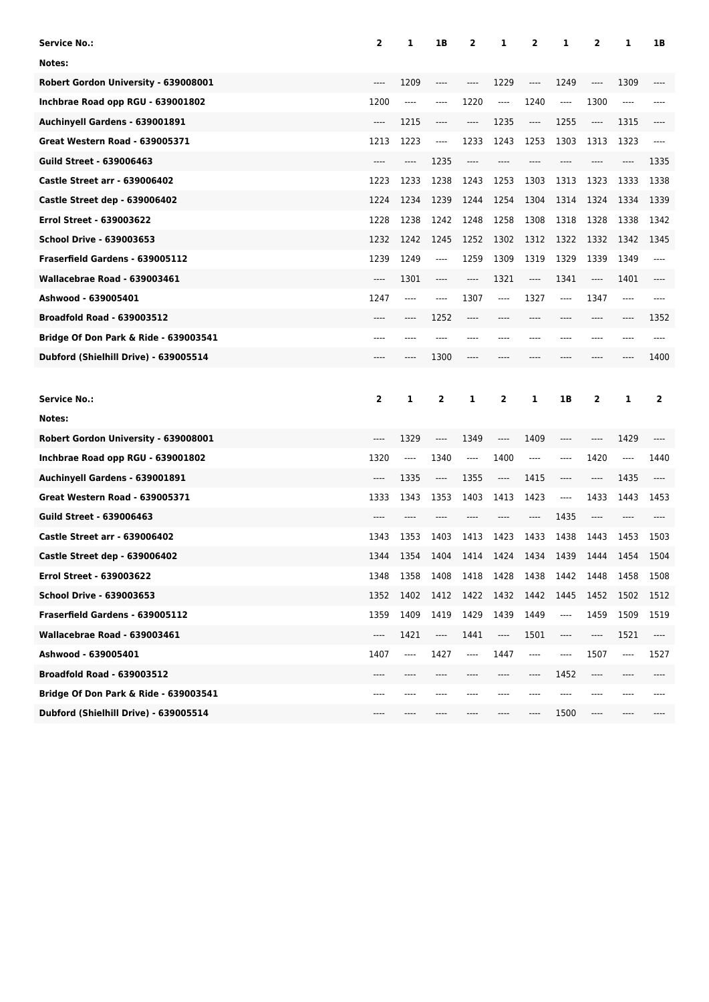| <b>Service No.:</b>                   | $\mathbf{2}$            | 1     | 1B      | 2    | 1                             | 2                                                                                                                                                                                                 | 1    | 2    | 1     | 1B    |
|---------------------------------------|-------------------------|-------|---------|------|-------------------------------|---------------------------------------------------------------------------------------------------------------------------------------------------------------------------------------------------|------|------|-------|-------|
| Notes:                                |                         |       |         |      |                               |                                                                                                                                                                                                   |      |      |       |       |
| Robert Gordon University - 639008001  | ----                    | 1209  | $---$   | ---- | 1229                          | ----                                                                                                                                                                                              | 1249 | ---- | 1309  | ----  |
| Inchbrae Road opp RGU - 639001802     | 1200                    | ----  | ----    | 1220 | $\hspace{1.5cm} \textbf{---}$ | 1240                                                                                                                                                                                              | ---- | 1300 | ----  |       |
| Auchinyell Gardens - 639001891        | $---$                   | 1215  | $-----$ | ---- | 1235                          | $\hspace{0.02in} \hspace{0.02in} \hspace{0.02in} \hspace{0.02in} \hspace{0.02in} \hspace{0.02in} \hspace{0.02in} \hspace{0.02in} \hspace{0.02in} \hspace{0.02in} \hspace{0.02in} \hspace{0.02in}$ | 1255 | ---- | 1315  | ----  |
| <b>Great Western Road - 639005371</b> | 1213                    | 1223  | $---$   | 1233 | 1243                          | 1253                                                                                                                                                                                              | 1303 | 1313 | 1323  | ----  |
| <b>Guild Street - 639006463</b>       | ----                    | ----  | 1235    | ---- | ----                          |                                                                                                                                                                                                   | ---- | ---- | ----  | 1335  |
| <b>Castle Street arr - 639006402</b>  | 1223                    | 1233  | 1238    | 1243 | 1253                          | 1303                                                                                                                                                                                              | 1313 | 1323 | 1333  | 1338  |
| Castle Street dep - 639006402         | 1224                    | 1234  | 1239    | 1244 | 1254                          | 1304                                                                                                                                                                                              | 1314 | 1324 | 1334  | 1339  |
| <b>Errol Street - 639003622</b>       | 1228                    | 1238  | 1242    | 1248 | 1258                          | 1308                                                                                                                                                                                              | 1318 | 1328 | 1338  | 1342  |
| <b>School Drive - 639003653</b>       | 1232                    | 1242  | 1245    | 1252 | 1302                          | 1312                                                                                                                                                                                              | 1322 | 1332 | 1342  | 1345  |
| Fraserfield Gardens - 639005112       | 1239                    | 1249  | $---$   | 1259 | 1309                          | 1319                                                                                                                                                                                              | 1329 | 1339 | 1349  | $---$ |
| Wallacebrae Road - 639003461          | $---$                   | 1301  | $-----$ | ---- | 1321                          | ----                                                                                                                                                                                              | 1341 | ---- | 1401  | $---$ |
| Ashwood - 639005401                   | 1247                    | ----  | $---$   | 1307 | ----                          | 1327                                                                                                                                                                                              | ---- | 1347 | $---$ | $---$ |
| <b>Broadfold Road - 639003512</b>     | ----                    | ----  | 1252    | ---- | ----                          | ----                                                                                                                                                                                              | ---- | ---- | ----  | 1352  |
| Bridge Of Don Park & Ride - 639003541 | ----                    | ----  | ----    | ---- | ----                          | ----                                                                                                                                                                                              | ---- | ---- | ----  | $---$ |
| Dubford (Shielhill Drive) - 639005514 | ----                    | ----  | 1300    | ---- |                               | ----                                                                                                                                                                                              | ---- |      | ----  | 1400  |
|                                       |                         |       |         |      |                               |                                                                                                                                                                                                   |      |      |       |       |
|                                       |                         |       |         |      |                               |                                                                                                                                                                                                   |      |      |       |       |
| <b>Service No.:</b>                   | $\overline{\mathbf{2}}$ | 1     | 2       | 1    | 2                             | 1                                                                                                                                                                                                 | 1В   | 2    | 1     | 2     |
| Notes:                                |                         |       |         |      |                               |                                                                                                                                                                                                   |      |      |       |       |
| Robert Gordon University - 639008001  | ----                    | 1329  | ----    | 1349 | ----                          | 1409                                                                                                                                                                                              | ---- | ---- | 1429  |       |
| Inchbrae Road opp RGU - 639001802     | 1320                    | $---$ | 1340    | ---- | 1400                          | $---$                                                                                                                                                                                             | ---- | 1420 | ----  | 1440  |
| Auchinyell Gardens - 639001891        | ----                    | 1335  | $-----$ | 1355 | ----                          | 1415                                                                                                                                                                                              | ---- | ---- | 1435  |       |
| Great Western Road - 639005371        | 1333                    | 1343  | 1353    | 1403 | 1413                          | 1423                                                                                                                                                                                              | ---- | 1433 | 1443  | 1453  |
| <b>Guild Street - 639006463</b>       |                         |       |         |      |                               | ----                                                                                                                                                                                              | 1435 | ---- | ----  |       |
| <b>Castle Street arr - 639006402</b>  | 1343                    | 1353  | 1403    | 1413 | 1423                          | 1433                                                                                                                                                                                              | 1438 | 1443 | 1453  | 1503  |
| Castle Street dep - 639006402         | 1344                    | 1354  | 1404    | 1414 | 1424                          | 1434                                                                                                                                                                                              | 1439 | 1444 | 1454  | 1504  |
| Errol Street - 639003622              | 1348                    | 1358  | 1408    | 1418 | 1428                          | 1438                                                                                                                                                                                              | 1442 | 1448 | 1458  | 1508  |
| <b>School Drive - 639003653</b>       | 1352                    | 1402  | 1412    | 1422 | 1432                          | 1442                                                                                                                                                                                              | 1445 | 1452 | 1502  | 1512  |
| Fraserfield Gardens - 639005112       | 1359                    | 1409  | 1419    | 1429 | 1439                          | 1449                                                                                                                                                                                              | ---- | 1459 | 1509  | 1519  |
| Wallacebrae Road - 639003461          | ----                    | 1421  | ----    | 1441 | ----                          | 1501                                                                                                                                                                                              | ---- | ---- | 1521  | ----  |
| Ashwood - 639005401                   | 1407                    | ----  | 1427    | ---- | 1447                          | ----                                                                                                                                                                                              | ---- | 1507 | ----  | 1527  |
| <b>Broadfold Road - 639003512</b>     | ----                    |       |         |      |                               | ----                                                                                                                                                                                              | 1452 | ---- |       |       |
| Bridge Of Don Park & Ride - 639003541 | ----                    |       |         |      |                               |                                                                                                                                                                                                   | ---- |      |       |       |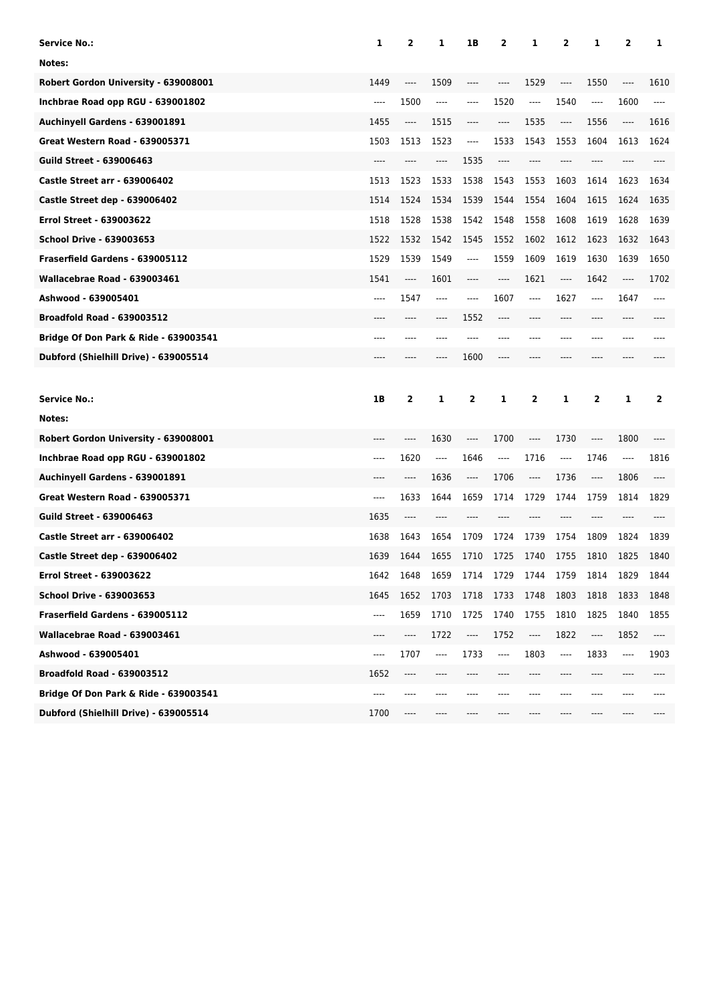| <b>Service No.:</b>                              | 1    | 2    | 1                             | 1B   | 2                             | 1        | 2        | 1    | 2                             | 1    |
|--------------------------------------------------|------|------|-------------------------------|------|-------------------------------|----------|----------|------|-------------------------------|------|
| Notes:                                           |      |      |                               |      |                               |          |          |      |                               |      |
| Robert Gordon University - 639008001             | 1449 | ---- | 1509                          | ---- |                               | 1529     | ----     | 1550 | ----                          | 1610 |
| Inchbrae Road opp RGU - 639001802                | ---- | 1500 | $\cdots$                      | ---- | 1520                          | $\cdots$ | 1540     | ---- | 1600                          | ---- |
| Auchinyell Gardens - 639001891                   | 1455 | ---- | 1515                          | ---- | $-----$                       | 1535     | ----     | 1556 | ----                          | 1616 |
| <b>Great Western Road - 639005371</b>            | 1503 | 1513 | 1523                          | ---- | 1533                          | 1543     | 1553     | 1604 | 1613                          | 1624 |
| <b>Guild Street - 639006463</b>                  | ---- |      | ----                          | 1535 | ----                          |          |          |      |                               |      |
| <b>Castle Street arr - 639006402</b>             | 1513 | 1523 | 1533                          | 1538 | 1543                          | 1553     | 1603     | 1614 | 1623                          | 1634 |
| <b>Castle Street dep - 639006402</b>             | 1514 | 1524 | 1534                          | 1539 | 1544                          | 1554     | 1604     | 1615 | 1624                          | 1635 |
| <b>Errol Street - 639003622</b>                  | 1518 | 1528 | 1538                          | 1542 | 1548                          | 1558     | 1608     | 1619 | 1628                          | 1639 |
| <b>School Drive - 639003653</b>                  | 1522 | 1532 | 1542                          | 1545 | 1552                          | 1602     | 1612     | 1623 | 1632                          | 1643 |
| Fraserfield Gardens - 639005112                  | 1529 | 1539 | 1549                          | ---- | 1559                          | 1609     | 1619     | 1630 | 1639                          | 1650 |
| Wallacebrae Road - 639003461                     | 1541 | ---- | 1601                          | ---- | ----                          | 1621     | $\cdots$ | 1642 | ----                          | 1702 |
| Ashwood - 639005401                              | ---- | 1547 | ----                          | ---- | 1607                          | ----     | 1627     | ---- | 1647                          |      |
| <b>Broadfold Road - 639003512</b>                |      | ---- |                               | 1552 |                               |          | ----     |      |                               |      |
| Bridge Of Don Park & Ride - 639003541            | ---- | ---- |                               |      |                               |          | ----     | ---- | ----                          |      |
| Dubford (Shielhill Drive) - 639005514            | ---- | ---- | ----                          | 1600 | ----                          |          | ----     |      | ----                          |      |
|                                                  |      |      |                               |      |                               |          |          |      |                               |      |
|                                                  |      |      |                               |      |                               |          |          |      |                               |      |
| <b>Service No.:</b>                              | 1B   | 2    | 1                             | 2    | 1                             | 2        | 1        | 2    | 1                             | 2    |
| Notes:                                           |      |      |                               |      |                               |          |          |      |                               |      |
| Robert Gordon University - 639008001             |      | ---- | 1630                          | ---- | 1700                          | ----     | 1730     | ---- | 1800                          |      |
| Inchbrae Road opp RGU - 639001802                | ---- | 1620 | $\hspace{1.5cm} \textbf{---}$ | 1646 | $---$                         | 1716     | ----     | 1746 | $\hspace{1.5cm} \textbf{---}$ | 1816 |
| Auchinyell Gardens - 639001891                   | ---- | ---- | 1636                          | ---- | 1706                          | $---$    | 1736     | ---- | 1806                          | ---- |
| <b>Great Western Road - 639005371</b>            | ---- | 1633 | 1644                          | 1659 | 1714                          | 1729     | 1744     | 1759 | 1814                          | 1829 |
| <b>Guild Street - 639006463</b>                  | 1635 | ---- |                               |      |                               |          |          |      |                               |      |
| <b>Castle Street arr - 639006402</b>             | 1638 | 1643 | 1654                          | 1709 | 1724                          | 1739     | 1754     | 1809 | 1824                          | 1839 |
| Castle Street dep - 639006402                    | 1639 | 1644 | 1655                          | 1710 | 1725                          | 1740     | 1755     | 1810 | 1825                          | 1840 |
| Errol Street - 639003622                         | 1642 | 1648 | 1659                          | 1714 | 1729                          | 1744     | 1759     | 1814 | 1829                          | 1844 |
| <b>School Drive - 639003653</b>                  | 1645 | 1652 | 1703                          | 1718 | 1733                          | 1748     | 1803     | 1818 | 1833                          | 1848 |
| Fraserfield Gardens - 639005112                  | ---- | 1659 | 1710                          | 1725 | 1740                          | 1755     | 1810     | 1825 | 1840                          | 1855 |
| Wallacebrae Road - 639003461                     | ---- | ---- | 1722                          | ---- | 1752                          | ----     | 1822     | ---- | 1852                          | ---- |
| Ashwood - 639005401                              | ---- | 1707 | ----                          | 1733 | $\hspace{1.5cm} \textbf{---}$ | 1803     | ----     | 1833 | $\hspace{1.5cm} \textbf{---}$ | 1903 |
| <b>Broadfold Road - 639003512</b>                | 1652 | ---- |                               |      |                               |          |          |      |                               |      |
| <b>Bridge Of Don Park &amp; Ride - 639003541</b> | ---- |      |                               |      |                               |          |          |      |                               |      |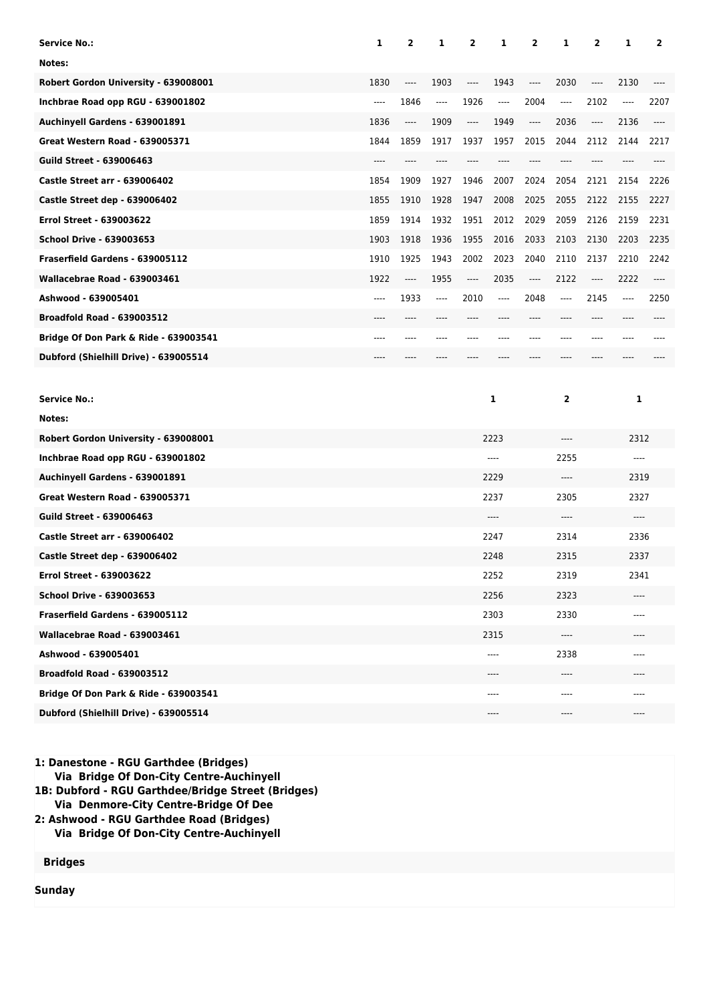| <b>Service No.:</b>                   | 1        | 2                                                    | 1     | 2    | 1       | 2                                     | 1                             | $\overline{2}$                                       | 1     | 2        |
|---------------------------------------|----------|------------------------------------------------------|-------|------|---------|---------------------------------------|-------------------------------|------------------------------------------------------|-------|----------|
| Notes:                                |          |                                                      |       |      |         |                                       |                               |                                                      |       |          |
| Robert Gordon University - 639008001  | 1830     | ----                                                 | 1903  | ---- | 1943    | ----                                  | 2030                          | $\hspace{0.05cm}\rule{0.7pt}{0.1ex}\hspace{0.025cm}$ | 2130  | $-----$  |
| Inchbrae Road opp RGU - 639001802     | $\cdots$ | 1846                                                 | ----  | 1926 | ----    | 2004                                  | ----                          | 2102                                                 | ----  | 2207     |
| Auchinyell Gardens - 639001891        | 1836     | $\hspace{1.5cm} \textbf{---}$                        | 1909  | ---- | 1949    | $\hspace{1.5cm} \textbf{---}$         | 2036                          | ----                                                 | 2136  | $\cdots$ |
| <b>Great Western Road - 639005371</b> | 1844     | 1859                                                 | 1917  | 1937 | 1957    | 2015                                  | 2044                          | 2112                                                 | 2144  | 2217     |
| <b>Guild Street - 639006463</b>       | ----     | ----                                                 | ----  | ---- |         |                                       | ----                          | ----                                                 |       | ----     |
| Castle Street arr - 639006402         | 1854     | 1909                                                 | 1927  | 1946 | 2007    | 2024                                  | 2054                          | 2121                                                 | 2154  | 2226     |
| Castle Street dep - 639006402         | 1855     | 1910                                                 | 1928  | 1947 | 2008    | 2025                                  | 2055                          | 2122                                                 | 2155  | 2227     |
| <b>Errol Street - 639003622</b>       | 1859     | 1914                                                 | 1932  | 1951 | 2012    | 2029                                  | 2059                          | 2126                                                 | 2159  | 2231     |
| <b>School Drive - 639003653</b>       | 1903     | 1918                                                 | 1936  | 1955 | 2016    | 2033                                  | 2103                          | 2130                                                 | 2203  | 2235     |
| Fraserfield Gardens - 639005112       | 1910     | 1925                                                 | 1943  | 2002 | 2023    | 2040                                  | 2110                          | 2137                                                 | 2210  | 2242     |
| Wallacebrae Road - 639003461          | 1922     | $\hspace{0.05cm}\rule{0.7pt}{0.1ex}\hspace{0.025cm}$ | 1955  | ---- | 2035    | $\hspace{1.5cm} \dots \hspace{1.5cm}$ | 2122                          | ----                                                 | 2222  | $\cdots$ |
| Ashwood - 639005401                   | ----     | 1933                                                 | $---$ | 2010 | $-----$ | 2048                                  | ----                          | 2145                                                 | $---$ | 2250     |
| <b>Broadfold Road - 639003512</b>     | ----     | ----                                                 |       | ---- |         | ----                                  |                               | ----                                                 |       |          |
| Bridge Of Don Park & Ride - 639003541 | ----     | ----                                                 |       |      |         |                                       | ----                          | ----                                                 |       |          |
| Dubford (Shielhill Drive) - 639005514 |          |                                                      |       |      |         |                                       |                               |                                                      |       |          |
|                                       |          |                                                      |       |      |         |                                       |                               |                                                      |       |          |
| <b>Service No.:</b>                   |          |                                                      |       |      | 1       |                                       | 2                             |                                                      | 1     |          |
| Notes:                                |          |                                                      |       |      |         |                                       |                               |                                                      |       |          |
| Robert Gordon University - 639008001  |          |                                                      |       |      | 2223    |                                       | ----                          |                                                      | 2312  |          |
| Inchbrae Road opp RGU - 639001802     |          |                                                      |       |      | $---$   |                                       | 2255                          |                                                      | $---$ |          |
| Auchinyell Gardens - 639001891        |          |                                                      |       |      | 2229    |                                       | $---$                         |                                                      | 2319  |          |
| <b>Great Western Road - 639005371</b> |          |                                                      |       |      | 2237    |                                       | 2305                          |                                                      | 2327  |          |
| <b>Guild Street - 639006463</b>       |          |                                                      |       |      | ----    |                                       | ----                          |                                                      | $---$ |          |
| <b>Castle Street arr - 639006402</b>  |          |                                                      |       |      | 2247    |                                       | 2314                          |                                                      | 2336  |          |
| Castle Street dep - 639006402         |          |                                                      |       |      | 2248    |                                       | 2315                          |                                                      | 2337  |          |
| <b>Errol Street - 639003622</b>       |          |                                                      |       |      | 2252    |                                       | 2319                          |                                                      | 2341  |          |
| <b>School Drive - 639003653</b>       |          |                                                      |       |      | 2256    |                                       | 2323                          |                                                      | ----  |          |
| Fraserfield Gardens - 639005112       |          |                                                      |       |      | 2303    |                                       | 2330                          |                                                      | ----  |          |
| Wallacebrae Road - 639003461          |          |                                                      |       |      | 2315    |                                       | $\hspace{1.5cm} \textbf{---}$ |                                                      | ----  |          |
| Ashwood - 639005401                   |          |                                                      |       |      | ----    |                                       | 2338                          |                                                      | ----  |          |
| <b>Broadfold Road - 639003512</b>     |          |                                                      |       |      | ----    |                                       | $-----$                       |                                                      |       |          |
| Bridge Of Don Park & Ride - 639003541 |          |                                                      |       |      | ----    |                                       | ----                          |                                                      | ----  |          |
| Dubford (Shielhill Drive) - 639005514 |          |                                                      |       |      | ----    |                                       | $---$                         |                                                      | $---$ |          |

**1: Danestone - RGU Garthdee (Bridges) Via Bridge Of Don-City Centre-Auchinyell**

**1B: Dubford - RGU Garthdee/Bridge Street (Bridges)**

 **Via Denmore-City Centre-Bridge Of Dee**

**2: Ashwood - RGU Garthdee Road (Bridges) Via Bridge Of Don-City Centre-Auchinyell**

**Bridges**

**Sunday**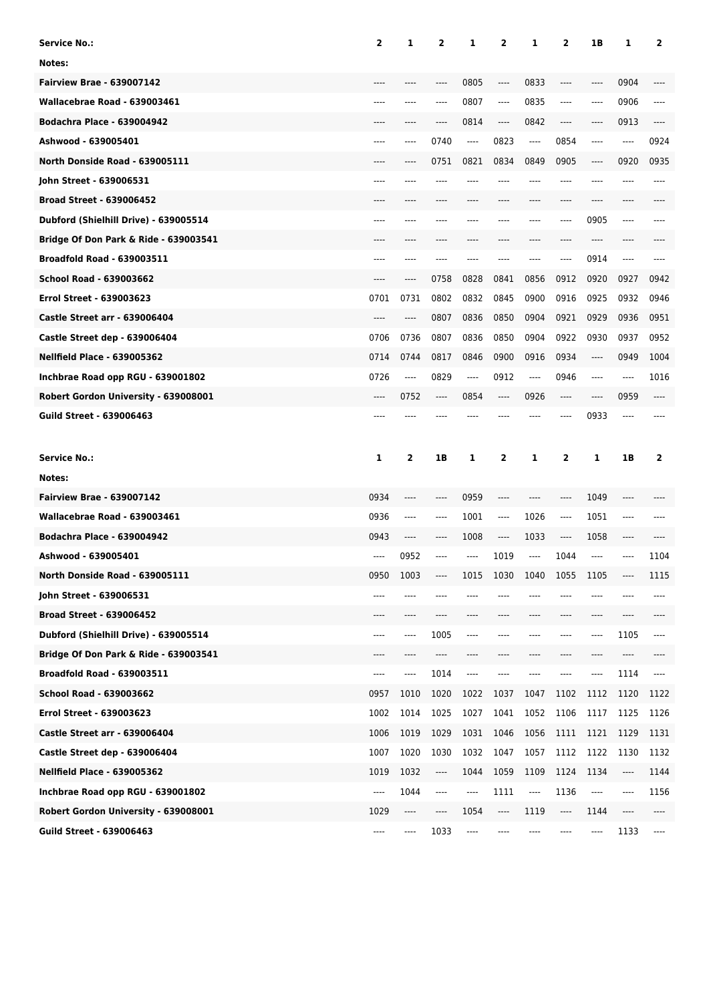| Service No.:                                     | 2    | 1                             | $\overline{2}$ | 1    | $\overline{2}$                | 1       | 2     | 1B   | 1    | 2    |
|--------------------------------------------------|------|-------------------------------|----------------|------|-------------------------------|---------|-------|------|------|------|
| Notes:                                           |      |                               |                |      |                               |         |       |      |      |      |
| <b>Fairview Brae - 639007142</b>                 |      |                               |                | 0805 | ----                          | 0833    | ----  | ---- | 0904 |      |
| Wallacebrae Road - 639003461                     | ---- |                               | ----           | 0807 | ----                          | 0835    | ----  | ---- | 0906 | ---- |
| <b>Bodachra Place - 639004942</b>                |      |                               | ----           | 0814 | ----                          | 0842    | ----  | ---- | 0913 | ---- |
| Ashwood - 639005401                              | ---- |                               | 0740           | ---- | 0823                          | $-----$ | 0854  | ---- | ---- | 0924 |
| North Donside Road - 639005111                   |      |                               | 0751           | 0821 | 0834                          | 0849    | 0905  | ---- | 0920 | 0935 |
| John Street - 639006531                          | ---- |                               |                |      |                               |         | ----  | ---- |      | ---- |
| <b>Broad Street - 639006452</b>                  |      |                               |                |      |                               |         | ----  | ---- | ---- |      |
| Dubford (Shielhill Drive) - 639005514            | ---- |                               |                |      |                               |         | ----  | 0905 | ---- |      |
| Bridge Of Don Park & Ride - 639003541            |      |                               |                |      |                               |         |       |      |      |      |
| <b>Broadfold Road - 639003511</b>                | ---- |                               | ----           | ---- |                               |         | ----  | 0914 | ---- |      |
| <b>School Road - 639003662</b>                   | ---- | ----                          | 0758           | 0828 | 0841                          | 0856    | 0912  | 0920 | 0927 | 0942 |
| <b>Errol Street - 639003623</b>                  | 0701 | 0731                          | 0802           | 0832 | 0845                          | 0900    | 0916  | 0925 | 0932 | 0946 |
| <b>Castle Street arr - 639006404</b>             | ---- | ----                          | 0807           | 0836 | 0850                          | 0904    | 0921  | 0929 | 0936 | 0951 |
| Castle Street dep - 639006404                    | 0706 | 0736                          | 0807           | 0836 | 0850                          | 0904    | 0922  | 0930 | 0937 | 0952 |
| <b>Nellfield Place - 639005362</b>               | 0714 | 0744                          | 0817           | 0846 | 0900                          | 0916    | 0934  | ---- | 0949 | 1004 |
| Inchbrae Road opp RGU - 639001802                | 0726 | ----                          | 0829           | ---- | 0912                          | $-----$ | 0946  | ---- | ---- | 1016 |
| Robert Gordon University - 639008001             | ---- | 0752                          | $\cdots$       | 0854 | ----                          | 0926    | ----  | ---- | 0959 |      |
| <b>Guild Street - 639006463</b>                  |      |                               |                |      |                               |         | ----  | 0933 | ---- |      |
|                                                  |      |                               |                |      |                               |         |       |      |      |      |
| <b>Service No.:</b>                              | 1    | 2                             | 1B             | 1    | 2                             | 1       | 2     | 1    | 1B   | 2    |
| Notes:                                           |      |                               |                |      |                               |         |       |      |      |      |
| <b>Fairview Brae - 639007142</b>                 | 0934 | ----                          | $-----$        | 0959 | ----                          | $---$   | ----  | 1049 | ---- |      |
| Wallacebrae Road - 639003461                     | 0936 | ----                          | $---$          | 1001 | ----                          | 1026    | ----  | 1051 | ---- |      |
| <b>Bodachra Place - 639004942</b>                | 0943 | ----                          | ----           | 1008 | ----                          | 1033    | ----  | 1058 | ---- |      |
| Ashwood - 639005401                              | ---- | 0952                          | ----           | ---- | 1019                          | $---$   | 1044  | ---- | ---- | 1104 |
| North Donside Road - 639005111                   | 0950 | 1003                          | ----           | 1015 | 1030                          | 1040    | 1055  | 1105 |      | 1115 |
| John Street - 639006531                          | ---- | ----                          |                |      |                               |         | ----  | ---- |      |      |
| <b>Broad Street - 639006452</b>                  | ---- | ----                          | $-----$        | ---- | ----                          | $---$   | $---$ | ---- | ---- | ---- |
| Dubford (Shielhill Drive) - 639005514            | ---- | ----                          | 1005           | ---- | ----                          | ----    | ----  | ---- | 1105 | ---- |
| <b>Bridge Of Don Park &amp; Ride - 639003541</b> | ---- | ----                          | ----           | ---- |                               | ----    | ----  | ---- | ---- |      |
| <b>Broadfold Road - 639003511</b>                | ---- | ----                          | 1014           | ---- | ----                          | ----    | ----  | ---- | 1114 | ---- |
| School Road - 639003662                          | 0957 | 1010                          | 1020           | 1022 | 1037                          | 1047    | 1102  | 1112 | 1120 | 1122 |
| Errol Street - 639003623                         | 1002 | 1014                          | 1025           | 1027 | 1041                          | 1052    | 1106  | 1117 | 1125 | 1126 |
| <b>Castle Street arr - 639006404</b>             | 1006 | 1019                          | 1029           | 1031 | 1046                          | 1056    | 1111  | 1121 | 1129 | 1131 |
| Castle Street dep - 639006404                    | 1007 | 1020                          | 1030           | 1032 | 1047                          | 1057    | 1112  | 1122 | 1130 | 1132 |
| <b>Nellfield Place - 639005362</b>               | 1019 | 1032                          | ----           | 1044 | 1059                          | 1109    | 1124  | 1134 | ---- | 1144 |
| Inchbrae Road opp RGU - 639001802                | ---- | 1044                          | $\cdots$       | ---- | 1111                          | ----    | 1136  | ---- | ---- | 1156 |
| Robert Gordon University - 639008001             | 1029 | $\hspace{1.5cm} \textbf{---}$ | ----           | 1054 | $\hspace{1.5cm} \textbf{---}$ | 1119    | ----  | 1144 | ---- | ---- |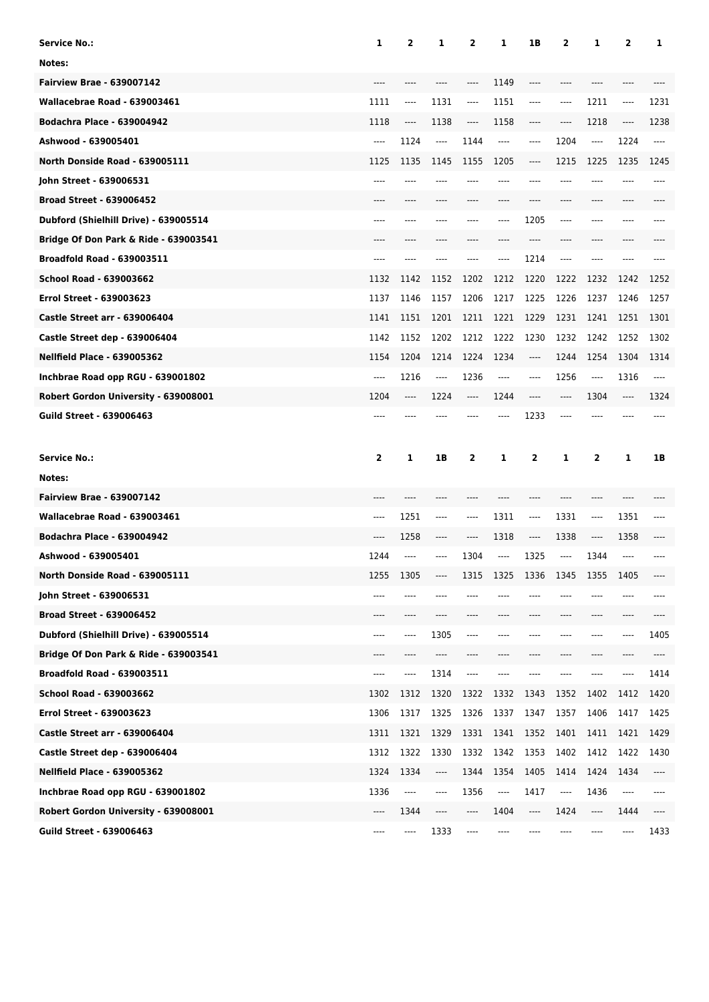| <b>Service No.:</b>                   | 1     | 2                             | 1     | 2        | 1       | 1B                            | 2     | 1    | 2    | 1     |
|---------------------------------------|-------|-------------------------------|-------|----------|---------|-------------------------------|-------|------|------|-------|
| Notes:                                |       |                               |       |          |         |                               |       |      |      |       |
| <b>Fairview Brae - 639007142</b>      |       |                               |       | ----     | 1149    | $---$                         | ----  |      |      |       |
| Wallacebrae Road - 639003461          | 1111  | ----                          | 1131  | $\cdots$ | 1151    | $-----$                       | ----  | 1211 | ---- | 1231  |
| <b>Bodachra Place - 639004942</b>     | 1118  | ----                          | 1138  | ----     | 1158    | $---$                         | ----  | 1218 | ---- | 1238  |
| Ashwood - 639005401                   | ----  | 1124                          | $---$ | 1144     | $-----$ | $-----$                       | 1204  | ---- | 1224 | ----  |
| North Donside Road - 639005111        | 1125  | 1135                          | 1145  | 1155     | 1205    | $---$                         | 1215  | 1225 | 1235 | 1245  |
| John Street - 639006531               | ----  |                               |       | ----     | ----    | $---$                         | ----  |      | ---- | $---$ |
| <b>Broad Street - 639006452</b>       | $---$ | ----                          | ----  | ----     | ----    | $---$                         | ----  | ---- | ---- |       |
| Dubford (Shielhill Drive) - 639005514 | $---$ |                               |       | ----     | ----    | 1205                          | $---$ | ---- | ---- |       |
| Bridge Of Don Park & Ride - 639003541 |       |                               |       |          | ----    | $---$                         | ----  | ---- | ---- |       |
| <b>Broadfold Road - 639003511</b>     | $---$ | ----                          | ----  | ----     | ----    | 1214                          | $---$ | ---- | ---- |       |
| School Road - 639003662               | 1132  | 1142                          | 1152  | 1202     | 1212    | 1220                          | 1222  | 1232 | 1242 | 1252  |
| <b>Errol Street - 639003623</b>       | 1137  | 1146                          | 1157  | 1206     | 1217    | 1225                          | 1226  | 1237 | 1246 | 1257  |
| <b>Castle Street arr - 639006404</b>  | 1141  | 1151                          | 1201  | 1211     | 1221    | 1229                          | 1231  | 1241 | 1251 | 1301  |
| Castle Street dep - 639006404         | 1142  | 1152                          | 1202  | 1212     | 1222    | 1230                          | 1232  | 1242 | 1252 | 1302  |
| <b>Nellfield Place - 639005362</b>    | 1154  | 1204                          | 1214  | 1224     | 1234    | $\hspace{1.5cm} \textbf{---}$ | 1244  | 1254 | 1304 | 1314  |
| Inchbrae Road opp RGU - 639001802     | ----  | 1216                          | $---$ | 1236     | ----    | $---$                         | 1256  | ---- | 1316 | $---$ |
| Robert Gordon University - 639008001  | 1204  | ----                          | 1224  | $---$    | 1244    | $---$                         | $---$ | 1304 | ---- | 1324  |
| <b>Guild Street - 639006463</b>       | ----  |                               |       |          | ----    | 1233                          | ----  | ---- |      |       |
|                                       |       |                               |       |          |         |                               |       |      |      |       |
| <b>Service No.:</b>                   | 2     | 1                             | 1B    | 2        | 1       | 2                             | 1     | 2    | 1    | 1B    |
| Notes:                                |       |                               |       |          |         |                               |       |      |      |       |
| <b>Fairview Brae - 639007142</b>      |       |                               |       |          |         |                               |       |      | ---- |       |
| Wallacebrae Road - 639003461          | ----  | 1251                          | ----  | ----     | 1311    | $---$                         | 1331  | ---- | 1351 | ----  |
| <b>Bodachra Place - 639004942</b>     | ----  | 1258                          | ----  | ----     | 1318    | $-----$                       | 1338  | ---- | 1358 |       |
| Ashwood - 639005401                   | 1244  | ----                          | ----  | 1304     | $---$   | 1325                          | ----  | 1344 | ---- |       |
| North Donside Road - 639005111        | 1255  | 1305                          | ----  | 1315     | 1325    | 1336                          | 1345  | 1355 | 1405 |       |
| John Street - 639006531               | ----  | ----                          |       |          |         |                               |       |      |      |       |
| <b>Broad Street - 639006452</b>       | ----  | ----                          |       | ----     |         |                               | ----  | ---- | ---- |       |
| Dubford (Shielhill Drive) - 639005514 | ----  | ----                          | 1305  | ----     |         |                               | ----  | ---- | ---- | 1405  |
| Bridge Of Don Park & Ride - 639003541 | ----  | ----                          | ----  | ----     |         |                               | ----  |      |      | ----  |
| Broadfold Road - 639003511            | ----  | ----                          | 1314  | ----     |         |                               |       |      |      | 1414  |
| School Road - 639003662               | 1302  | 1312                          | 1320  | 1322     | 1332    | 1343                          | 1352  | 1402 | 1412 | 1420  |
| Errol Street - 639003623              | 1306  | 1317                          | 1325  | 1326     | 1337    | 1347                          | 1357  | 1406 | 1417 | 1425  |
| <b>Castle Street arr - 639006404</b>  | 1311  | 1321                          | 1329  | 1331     | 1341    | 1352                          | 1401  | 1411 | 1421 | 1429  |
| Castle Street dep - 639006404         | 1312  | 1322                          | 1330  | 1332     | 1342    | 1353                          | 1402  | 1412 | 1422 | 1430  |
| <b>Nellfield Place - 639005362</b>    | 1324  | 1334                          | ----  | 1344     | 1354    | 1405                          | 1414  | 1424 | 1434 | ----  |
| Inchbrae Road opp RGU - 639001802     | 1336  | $\hspace{1.5cm} \textbf{---}$ | ----  | 1356     | ----    | 1417                          | ----  | 1436 | ---- |       |
| Robert Gordon University - 639008001  | ----  | 1344                          | ----  | ----     | 1404    | $\hspace{1.5cm} \textbf{---}$ | 1424  | ---- | 1444 | ----  |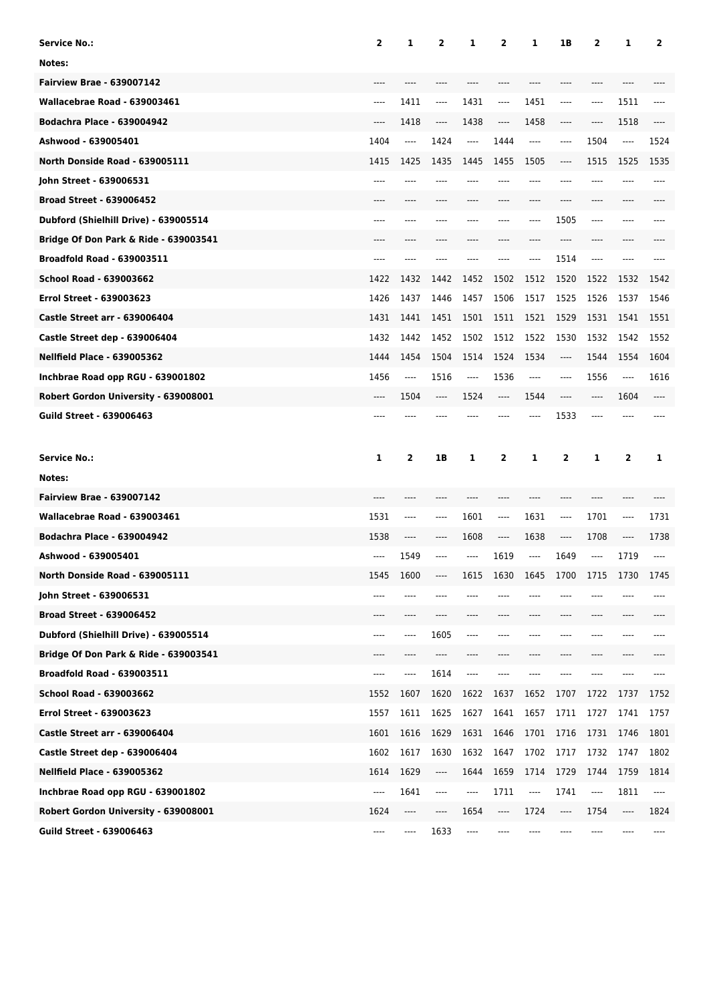| <b>Service No.:</b>                   | $\overline{2}$ | 1    | $\mathbf{2}$                  | 1    | 2    | 1       | 1B      | 2    | 1    | 2    |
|---------------------------------------|----------------|------|-------------------------------|------|------|---------|---------|------|------|------|
| Notes:                                |                |      |                               |      |      |         |         |      |      |      |
| <b>Fairview Brae - 639007142</b>      |                |      |                               |      |      |         |         |      |      |      |
| Wallacebrae Road - 639003461          | ----           | 1411 | $---$                         | 1431 | ---- | 1451    | $-----$ | ---- | 1511 |      |
| <b>Bodachra Place - 639004942</b>     | ----           | 1418 | $\cdots$                      | 1438 | ---- | 1458    | ----    | ---- | 1518 | ---- |
| Ashwood - 639005401                   | 1404           | ---- | 1424                          | ---- | 1444 | $-----$ | $-----$ | 1504 | ---- | 1524 |
| North Donside Road - 639005111        | 1415           | 1425 | 1435                          | 1445 | 1455 | 1505    | ----    | 1515 | 1525 | 1535 |
| John Street - 639006531               |                |      |                               |      |      |         | ----    |      |      | ---- |
| <b>Broad Street - 639006452</b>       | ----           | ---- | ----                          | ---- |      | ----    | ----    | ---- | ---- |      |
| Dubford (Shielhill Drive) - 639005514 | ----           |      |                               |      |      | ----    | 1505    | ---- |      |      |
| Bridge Of Don Park & Ride - 639003541 |                |      |                               |      |      |         |         |      |      |      |
| <b>Broadfold Road - 639003511</b>     | ----           |      |                               |      |      | ----    | 1514    | ---- |      |      |
| <b>School Road - 639003662</b>        | 1422           | 1432 | 1442                          | 1452 | 1502 | 1512    | 1520    | 1522 | 1532 | 1542 |
| <b>Errol Street - 639003623</b>       | 1426           | 1437 | 1446                          | 1457 | 1506 | 1517    | 1525    | 1526 | 1537 | 1546 |
| Castle Street arr - 639006404         | 1431           | 1441 | 1451                          | 1501 | 1511 | 1521    | 1529    | 1531 | 1541 | 1551 |
| Castle Street dep - 639006404         | 1432           | 1442 | 1452                          | 1502 | 1512 | 1522    | 1530    | 1532 | 1542 | 1552 |
| <b>Nellfield Place - 639005362</b>    | 1444           | 1454 | 1504                          | 1514 | 1524 | 1534    | ----    | 1544 | 1554 | 1604 |
| Inchbrae Road opp RGU - 639001802     | 1456           | ---- | 1516                          | ---- | 1536 | $-----$ | $-----$ | 1556 | ---- | 1616 |
| Robert Gordon University - 639008001  | ----           | 1504 | $\cdots$                      | 1524 | ---- | 1544    | ----    | ---- | 1604 | ---- |
| <b>Guild Street - 639006463</b>       | ----           |      |                               |      |      | ----    | 1533    | ---- |      |      |
|                                       |                |      |                               |      |      |         |         |      |      |      |
|                                       |                |      |                               |      |      |         |         |      |      |      |
| <b>Service No.:</b>                   | 1              | 2    | 1B                            | 1    | 2    | 1       | 2       | 1    | 2    | 1    |
| Notes:                                |                |      |                               |      |      |         |         |      |      |      |
| <b>Fairview Brae - 639007142</b>      |                |      |                               |      |      |         | ----    |      |      |      |
| Wallacebrae Road - 639003461          | 1531           | ---- | ----                          | 1601 | ---- | 1631    | ----    | 1701 | ---- | 1731 |
| <b>Bodachra Place - 639004942</b>     | 1538           | ---- | ----                          | 1608 | ---- | 1638    | ----    | 1708 | ---- | 1738 |
| Ashwood - 639005401                   | ----           | 1549 | ----                          | ---- | 1619 | $---$   | 1649    | ---- | 1719 | ---- |
| North Donside Road - 639005111        | 1545           | 1600 |                               | 1615 | 1630 | 1645    | 1700    | 1715 | 1730 | 1745 |
| John Street - 639006531               |                |      |                               |      |      |         |         |      |      |      |
| <b>Broad Street - 639006452</b>       | ----           | ---- | ----                          |      |      |         | ----    | ---- |      |      |
| Dubford (Shielhill Drive) - 639005514 | ----           | ---- | 1605                          | ---- |      |         |         | ---- |      |      |
| Bridge Of Don Park & Ride - 639003541 | ----           |      | ----                          |      |      |         |         |      |      |      |
| <b>Broadfold Road - 639003511</b>     | ----           | ---- | 1614                          | ---- |      |         |         |      |      |      |
| School Road - 639003662               | 1552           | 1607 | 1620                          | 1622 | 1637 | 1652    | 1707    | 1722 | 1737 | 1752 |
| <b>Errol Street - 639003623</b>       | 1557           | 1611 | 1625                          | 1627 | 1641 | 1657    | 1711    | 1727 | 1741 | 1757 |
| <b>Castle Street arr - 639006404</b>  | 1601           | 1616 | 1629                          | 1631 | 1646 | 1701    | 1716    | 1731 | 1746 | 1801 |
| Castle Street dep - 639006404         | 1602           | 1617 | 1630                          | 1632 | 1647 | 1702    | 1717    | 1732 | 1747 | 1802 |
| <b>Nellfield Place - 639005362</b>    | 1614           | 1629 | ----                          | 1644 | 1659 | 1714    | 1729    | 1744 | 1759 | 1814 |
| Inchbrae Road opp RGU - 639001802     | ----           | 1641 | $\hspace{1.5cm} \textbf{---}$ | ---- | 1711 | ----    | 1741    | ---- | 1811 | ---- |
| Robert Gordon University - 639008001  | 1624           | ---- |                               | 1654 | ---- | 1724    | ----    | 1754 | ---- | 1824 |